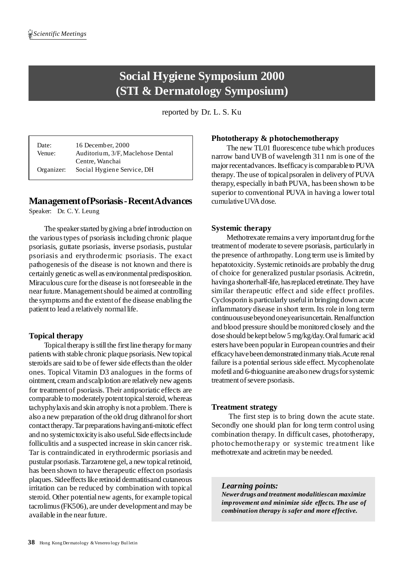# **Social Hygiene Symposium 2000 (STI & Dermatology Symposium)**

reported by Dr. L. S. Ku

Date: 16 December, 2000 Venue: Auditorium, 3/F,Maclehose Dental Centre, Wanchai Organizer: Social Hygiene Service, DH

# **ManagementofPsoriasis-RecentAdvances**

Speaker: Dr. C.Y. Leung

The speaker started by giving a brief introduction on the varioustypes of psoriasis including chronic plaque psoriasis, guttate psoriasis, inverse psoriasis, pustular psoriasis and erythrodermic psoriasis. The exact pathogenesis of the disease is not known and there is certainly genetic aswell as environmentalpredisposition. Miraculous cure forthe disease is notforeseeable in the nearfuture. Managementshould be aimed at controlling the symptoms and the extentof the disease enabling the patient to lead a relatively normal life.

#### **Topical therapy**

Topical therapy is still the first line therapy for many patientswith stable chronic plaque psoriasis. New topical steroids are said to be of fewer side effects than the older ones. Topical Vitamin D3 analogues in the forms of ointment, creamandscalplotion are relatively new agents for treatmentof psoriasis.Their antipsoriatic effects are comparable to moderately potent topical steroid, whereas tachyphylaxis and skin atrophy is not a problem.There is also a new preparation of the old drug dithranol for short contact therapy. Tar preparations having anti-mitotic effect and no systemictoxicityis also useful.Side effectsinclude folliculitis and a suspected increase in skin cancer risk. Tar is contraindicated in erythrodermic psoriasis and pustular psoriasis. Tarzarotene gel, a new topical retinoid, has been shown to have therapeutic effecton psoriasis plaques. Sideeffects like retinoid dermatitisand cutaneous irritation can be reduced by combination with topical steroid. Other potential new agents, for example topical tacrolimus(FK506), are under development and may be available in the nearfuture.

#### **Phototherapy & photochemotherapy**

The new TL01 fluorescence tube which produces narrow band UVB of wavelength 311 nm is one of the major recentad vances. Its efficacy is comparable to PUVA therapy. The use of topical psoralen in delivery of PUVA therapy, especially in bath PUVA, has been shown to be superior to conventional PUVA in having a lower total cumulativeUVA dose.

#### **Systemic therapy**

Methotrexate remains a very important drug for the treatmentof moderate to severe psoriasis, particularly in the presence of arthropathy. Long term use is limited by hepatotoxicity. Systemic retinoids are probably the drug of choice for generalized pustular psoriasis. Acitretin, havinga shorterhalf-life, hasreplaced etretinate.They have similar therapeutic effect and side effect profiles. Cyclosporin is particularly usefulin bringing down acute inflammatory disease in short term. Its role in long term continuoususebeyondoneyearisuncertain.Renalfunction and blood pressure should be monitored closely and the dose should be kept below 5 mg/kg/day. Oral fumaric acid esters have been popularin European countries and their efficacyhavebeendemonstratedinmany trials.Acute renal failure is a potential serious side effect. Mycophenolate mofetil and 6-thioguanine arealsonew drugsforsystemic treatment of severe psoriasis.

#### **Treatment strategy**

The first step is to bring down the acute state. Secondly one should plan for long term control using combination therapy. In difficult cases, phototherapy, photochemotherapy or systemic treatment like methotrexate and acitretin may be needed.

*Learning points:*

*Newer drugs and treatment modalitiescan maximize improvement and minimize side effects. The use of combination therapy is safer and more effective.*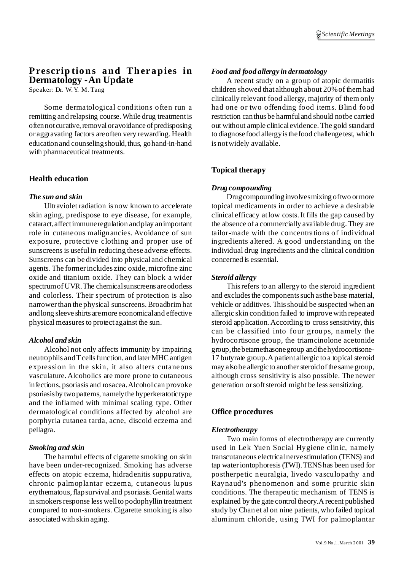# **Prescrip tions and Ther apies in Dermatology -An Update**

Speaker: Dr. W.Y. M. Tang

Some dermatological conditions often run a remitting and relapsing course.While drug treatmentis often not curative, removal or avoidance of predisposing or aggravating factors areoften very rewarding. Health educationand counselingshould,thus, gohand-in-hand with pharmaceutical treatments.

#### **Health education**

#### *The sun and skin*

Ultraviolet radiation is now known to accelerate skin aging, predispose to eye disease, for example, cataract,affectimmuneregulation andplay animportant role in cutaneous malignancies. Avoidance of sun exposure, protective clothing and proper use of sunscreens is usefulin reducing these adverse effects. Sunscreens can be divided into physical and chemical agents.The formerincludes zinc oxide,microfine zinc oxide and titanium oxide. They can block a wider spectrumofUVR.The chemicalsunscreens areodorless and colorless. Their spectrum of protection is also narrowerthan the physical sunscreens.Broadbrimhat andlong sleeve shirts aremore economicaland effective physical measures to protect against the sun.

#### *Alcohol and skin*

Alcohol not only affects immunity by impairing neutrophils and T cells function, and later MHC antigen expression in the skin, it also alters cutaneous vasculature. Alcoholics are more prone to cutaneous infections, psoriasis and rosacea.Alcohol can provoke psoriasisby twopatterns, namelythe hyperkeratotictype and the inflamed with minimal scaling type. Other dermatological conditions affected by alcohol are porphyria cutanea tarda, acne, discoid eczema and pellagra.

#### *Smoking and skin*

The harmful effects of cigarette smoking on skin have been under-recognized. Smoking has adverse effects on atopic eczema, hidradenitis suppurativa, chronic palmoplantar eczema, cutaneous lupus erythematous, flap survival and psoriasis. Genital warts in smokers response less well to podophyllin treatment compared to non-smokers. Cigarette smoking is also associated with skin aging.

#### *Food and food allergy in dermatology*

A recent study on a group of atopic dermatitis children showed that although about 20%of themhad clinically relevant food allergy, majority of themonly had one or two offending food items. Blind food restriction canthus be harmful and should notbe carried out without ample clinical evidence.The gold standard to diagnosefood allergyisthefood challengetest, which is notwidely available.

# **Topical therapy**

#### *Drug compounding*

Drugcompounding involvesmixing oftwo ormore topical medicaments in order to achieve a desirable clinical efficacy atlow costs.It fills the gap caused by the absence of a commercially available drug.They are tailor-made with the concentrations of individual ingredients altered. A good understanding on the individual drug ingredients and the clinical condition concerned is essential.

#### *Steroid allergy*

Thisrefers to an allergy to the steroid ingredient and excludes the components such as the base material, vehicle or additives. Thisshould be suspected when an allergic skin condition failed to improve with repeated steroid application.According to cross sensitivity, this can be classified into four groups, namely the hydrocortisone group, the triamcinolone acetonide group,thebetamethasonegroup andthehydrocortisone-17 butyrate group. A patient allergic to a topical steroid may also be allergic to another steroid of the same group, although cross sensitivity is also possible. The newer generation orsoftsteroid might be less sensitizing.

#### **Office procedures**

#### *Electrotherapy*

Two main forms of electrotherapy are currently used in Lek Yuen Social Hygiene clinic, namely transcutaneous electricalnervestimulation (TENS) and tap wateriontophoresis (TWI).TENShas been used for postherpetic neuralgia, livedo vasculopathy and Raynaud's phenomenon and some pruritic skin conditions. The therapeutic mechanism of TENS is explained by the gate control theory.A recent published study by Chan et al on nine patients, who failed topical aluminum chloride, using TWI for palmoplantar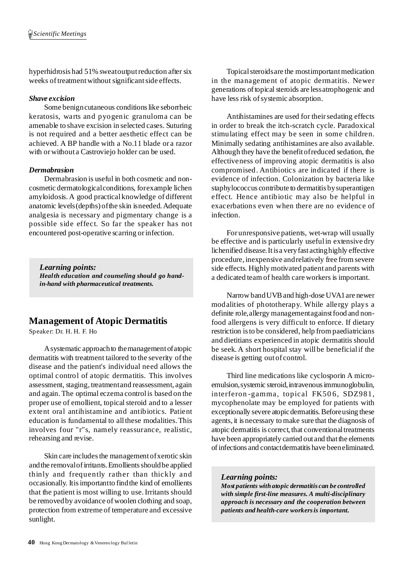hyperhidrosis had 51% sweatoutputreduction after six weeks of treatment without significant side effects.

#### *Shave excision*

Some benign cutaneous conditions like seborrheic keratosis, warts and pyogenic granuloma can be amenable to shave excision in selected cases. Suturing is not required and a better aesthetic effect can be achieved. A BP handle with a No.11 blade or a razor with orwithout a Castroviejo holder can be used.

#### *Dermabrasion*

Dermabrasion is useful in both cosmetic and noncosmetic dermatologicalconditions, forexample lichen amyloidosis. A good practicalknowledge of different anatomic levels(depths) ofthe skin isneeded. Adequate analgesia is necessary and pigmentary change is a possible side effect. So far the speaker has not encountered post-operative scarring orinfection.

*Learning points: Health education and counseling should go handin-hand with pharmaceutical treatments.*

# **Management of Atopic Dermatitis**

Speaker: Dr. H. H. F. Ho

Asystematic approachto themanagementofatopic dermatitis with treatment tailored to the severity of the disease and the patient's individual need allows the optimal control of atopic dermatitis. This involves assessment, staging, treatmentand reassessment, again and again.The optimal eczema controlis based on the proper use of emollient, topicalsteroid and to a lesser extent oral antihistamine and antibiotics. Patient education is fundamental to allthese modalities.This involves four ''r''s, namely reassurance, realistic, rehearsing and revise.

Skin care includes the management of xerotic skin and the removal of irritants. Emollients should be applied thinly and frequently rather than thickly and occasionally. Itisimportantto findthe kind of emollients that the patient is most willing to use.Irritants should be removedby avoidance ofwoolen clothing and soap, protection from extreme of temperature and excessive sunlight.

Topical steroids are the most important medication in the management of atopic dermatitis. Newer generations of topical steroids are less atrophogenic and have less risk of systemic absorption.

Antihistamines are used for their sedating effects in order to break the itch-scratch cycle. Paradoxical stimulating effect may be seen in some children. Minimally sedating antihistamines are also available. Although they have the benefitofreduced sedation, the effectiveness of improving atopic dermatitis is also compromised. Antibiotics are indicated if there is evidence of infection. Colonization by bacteria like staphylococcus contribute to dermatitis bysuperantigen effect. Hence antibiotic may also be helpful in exacerbations even when there are no evidence of infection.

For unresponsive patients, wet-wrap will usually be effective and is particularly usefulin extensive dry lichenified disease.Itisa veryfast actinghighly effective procedure, inexpensive andrelatively free fromsevere side effects. Highly motivated patient and parents with a dedicated teamof health care workers is important.

Narrow band UVB and high-dose UVA1 are newer modalities of phototherapy. While allergy plays a definite role, allergy managementagainst food and nonfood allergens is very difficult to enforce. If dietary restriction isto be considered, help frompaediatricians and dietitians experienced in atopic dermatitis should be seek. A short hospital stay will be beneficial if the disease is getting outof control.

Third line medications like cyclosporin A microemulsion, systemic steroid, intravenous immunoglobulin, interferon-gamma, topical FK506, SDZ981, mycophenolate may be employed for patients with exceptionally severe atopic dermatitis. Before using these agents, it is necessary to make sure that the diagnosis of atopic dermatitis is correct, that conventional treatments have been appropriately carried out and that the elements ofinfections and contactdermatitis have beeneliminated.

#### *Learning points:*

*Most patients withatopic dermatitis can be controlled with simple first-line measures. A multi-disciplinary approach is necessary and the cooperation between patients andhealth-care workersis important.*